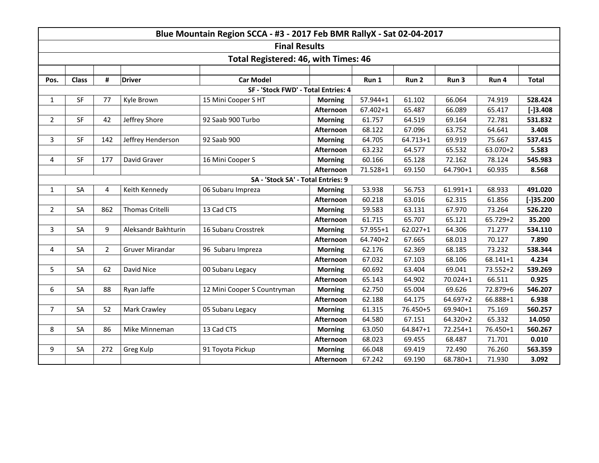| Blue Mountain Region SCCA - #3 - 2017 Feb BMR RallyX - Sat 02-04-2017 |                      |                |                     |                             |                |              |              |              |          |              |  |  |  |
|-----------------------------------------------------------------------|----------------------|----------------|---------------------|-----------------------------|----------------|--------------|--------------|--------------|----------|--------------|--|--|--|
|                                                                       | <b>Final Results</b> |                |                     |                             |                |              |              |              |          |              |  |  |  |
| Total Registered: 46, with Times: 46                                  |                      |                |                     |                             |                |              |              |              |          |              |  |  |  |
|                                                                       |                      |                |                     |                             |                |              |              |              |          |              |  |  |  |
| Pos.                                                                  | <b>Class</b>         | #              | <b>Driver</b>       | <b>Car Model</b>            |                | Run 1        | Run 2        | Run 3        | Run 4    | <b>Total</b> |  |  |  |
| SF - 'Stock FWD' - Total Entries: 4                                   |                      |                |                     |                             |                |              |              |              |          |              |  |  |  |
| $\mathbf{1}$                                                          | <b>SF</b>            | 77             | Kyle Brown          | 15 Mini Cooper S HT         | <b>Morning</b> | $57.944 + 1$ | 61.102       | 66.064       | 74.919   | 528.424      |  |  |  |
|                                                                       |                      |                |                     |                             | Afternoon      | $67.402 + 1$ | 65.487       | 66.089       | 65.417   | $[-]3.408$   |  |  |  |
| $\overline{2}$                                                        | <b>SF</b>            | 42             | Jeffrey Shore       | 92 Saab 900 Turbo           | <b>Morning</b> | 61.757       | 64.519       | 69.164       | 72.781   | 531.832      |  |  |  |
|                                                                       |                      |                |                     |                             | Afternoon      | 68.122       | 67.096       | 63.752       | 64.641   | 3.408        |  |  |  |
| 3                                                                     | <b>SF</b>            | 142            | Jeffrey Henderson   | 92 Saab 900                 | <b>Morning</b> | 64.705       | $64.713 + 1$ | 69.919       | 75.667   | 537.415      |  |  |  |
|                                                                       |                      |                |                     |                             | Afternoon      | 63.232       | 64.577       | 65.532       | 63.070+2 | 5.583        |  |  |  |
| 4                                                                     | SF                   | 177            | David Graver        | 16 Mini Cooper S            | <b>Morning</b> | 60.166       | 65.128       | 72.162       | 78.124   | 545.983      |  |  |  |
|                                                                       |                      |                |                     |                             | Afternoon      | 71.528+1     | 69.150       | 64.790+1     | 60.935   | 8.568        |  |  |  |
| SA - 'Stock SA' - Total Entries: 9                                    |                      |                |                     |                             |                |              |              |              |          |              |  |  |  |
| $\mathbf{1}$                                                          | SA                   | 4              | Keith Kennedy       | 06 Subaru Impreza           | <b>Morning</b> | 53.938       | 56.753       | 61.991+1     | 68.933   | 491.020      |  |  |  |
|                                                                       |                      |                |                     |                             | Afternoon      | 60.218       | 63.016       | 62.315       | 61.856   | $[-]35.200$  |  |  |  |
| $\overline{2}$                                                        | SA                   | 862            | Thomas Critelli     | 13 Cad CTS                  | <b>Morning</b> | 59.583       | 63.131       | 67.970       | 73.264   | 526.220      |  |  |  |
|                                                                       |                      |                |                     |                             | Afternoon      | 61.715       | 65.707       | 65.121       | 65.729+2 | 35.200       |  |  |  |
| $\overline{3}$                                                        | SA                   | 9              | Aleksandr Bakhturin | 16 Subaru Crosstrek         | <b>Morning</b> | 57.955+1     | $62.027 + 1$ | 64.306       | 71.277   | 534.110      |  |  |  |
|                                                                       |                      |                |                     |                             | Afternoon      | 64.740+2     | 67.665       | 68.013       | 70.127   | 7.890        |  |  |  |
| 4                                                                     | SA                   | $\overline{2}$ | Gruver Mirandar     | 96 Subaru Impreza           | <b>Morning</b> | 62.176       | 62.369       | 68.185       | 73.232   | 538.344      |  |  |  |
|                                                                       |                      |                |                     |                             | Afternoon      | 67.032       | 67.103       | 68.106       | 68.141+1 | 4.234        |  |  |  |
| 5                                                                     | SA                   | 62             | David Nice          | 00 Subaru Legacy            | <b>Morning</b> | 60.692       | 63.404       | 69.041       | 73.552+2 | 539.269      |  |  |  |
|                                                                       |                      |                |                     |                             | Afternoon      | 65.143       | 64.902       | 70.024+1     | 66.511   | 0.925        |  |  |  |
| 6                                                                     | SA                   | 88             | Ryan Jaffe          | 12 Mini Cooper S Countryman | <b>Morning</b> | 62.750       | 65.004       | 69.626       | 72.879+6 | 546.207      |  |  |  |
|                                                                       |                      |                |                     |                             | Afternoon      | 62.188       | 64.175       | 64.697+2     | 66.888+1 | 6.938        |  |  |  |
| $\overline{7}$                                                        | SA                   | 52             | Mark Crawley        | 05 Subaru Legacy            | <b>Morning</b> | 61.315       | 76.450+5     | 69.940+1     | 75.169   | 560.257      |  |  |  |
|                                                                       |                      |                |                     |                             | Afternoon      | 64.580       | 67.151       | 64.320+2     | 65.332   | 14.050       |  |  |  |
| 8                                                                     | SA                   | 86             | Mike Minneman       | 13 Cad CTS                  | <b>Morning</b> | 63.050       | 64.847+1     | $72.254 + 1$ | 76.450+1 | 560.267      |  |  |  |
|                                                                       |                      |                |                     |                             | Afternoon      | 68.023       | 69.455       | 68.487       | 71.701   | 0.010        |  |  |  |
| 9                                                                     | SA                   | 272            | Greg Kulp           | 91 Toyota Pickup            | <b>Morning</b> | 66.048       | 69.419       | 72.490       | 76.260   | 563.359      |  |  |  |
|                                                                       |                      |                |                     |                             | Afternoon      | 67.242       | 69.190       | 68.780+1     | 71.930   | 3.092        |  |  |  |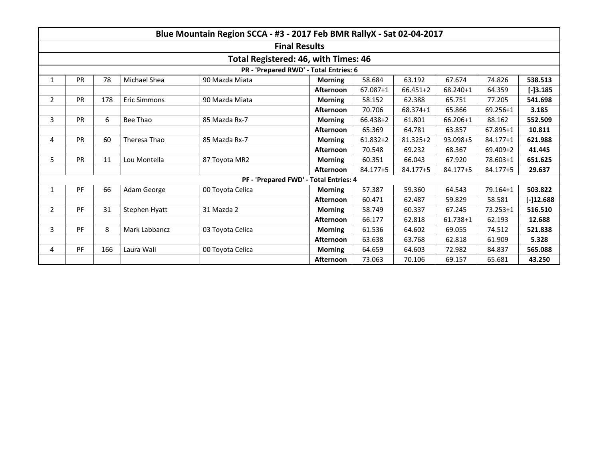|                                        | Blue Mountain Region SCCA - #3 - 2017 Feb BMR RallyX - Sat 02-04-2017 |     |                           |                                        |                  |              |              |              |              |              |  |  |
|----------------------------------------|-----------------------------------------------------------------------|-----|---------------------------|----------------------------------------|------------------|--------------|--------------|--------------|--------------|--------------|--|--|
|                                        | <b>Final Results</b>                                                  |     |                           |                                        |                  |              |              |              |              |              |  |  |
| Total Registered: 46, with Times: 46   |                                                                       |     |                           |                                        |                  |              |              |              |              |              |  |  |
| PR - 'Prepared RWD' - Total Entries: 6 |                                                                       |     |                           |                                        |                  |              |              |              |              |              |  |  |
| $\mathbf{1}$                           | <b>PR</b>                                                             | 78  | Michael Shea              | 90 Mazda Miata                         | <b>Morning</b>   | 58.684       | 63.192       | 67.674       | 74.826       | 538.513      |  |  |
|                                        |                                                                       |     |                           |                                        | <b>Afternoon</b> | 67.087+1     | 66.451+2     | 68.240+1     | 64.359       | $[-]3.185$   |  |  |
| $\overline{2}$                         | <b>PR</b>                                                             | 178 | <b>Eric Simmons</b>       | 90 Mazda Miata                         | <b>Morning</b>   | 58.152       | 62.388       | 65.751       | 77.205       | 541.698      |  |  |
|                                        |                                                                       |     |                           |                                        | Afternoon        | 70.706       | 68.374+1     | 65.866       | 69.256+1     | 3.185        |  |  |
| 3                                      | <b>PR</b>                                                             | 6   | Bee Thao<br>85 Mazda Rx-7 |                                        | <b>Morning</b>   | 66.438+2     | 61.801       | 66.206+1     | 88.162       | 552.509      |  |  |
|                                        |                                                                       |     |                           |                                        | Afternoon        | 65.369       | 64.781       | 63.857       | 67.895+1     | 10.811       |  |  |
| 4                                      | <b>PR</b>                                                             | 60  | Theresa Thao              | 85 Mazda Rx-7                          | <b>Morning</b>   | $61.832 + 2$ | $81.325 + 2$ | 93.098+5     | 84.177+1     | 621.988      |  |  |
|                                        |                                                                       |     |                           |                                        | <b>Afternoon</b> | 70.548       | 69.232       | 68.367       | 69.409+2     | 41.445       |  |  |
| 5                                      | <b>PR</b>                                                             | 11  | Lou Montella              | 87 Toyota MR2                          | <b>Morning</b>   | 60.351       | 66.043       | 67.920       | 78.603+1     | 651.625      |  |  |
|                                        |                                                                       |     |                           |                                        | Afternoon        | 84.177+5     | 84.177+5     | 84.177+5     | 84.177+5     | 29.637       |  |  |
|                                        |                                                                       |     |                           | PF - 'Prepared FWD' - Total Entries: 4 |                  |              |              |              |              |              |  |  |
| 1                                      | PF                                                                    | 66  | Adam George               | 00 Toyota Celica                       | <b>Morning</b>   | 57.387       | 59.360       | 64.543       | 79.164+1     | 503.822      |  |  |
|                                        |                                                                       |     |                           |                                        | Afternoon        | 60.471       | 62.487       | 59.829       | 58.581       | $[-]12.688]$ |  |  |
| $\overline{2}$                         | PF                                                                    | 31  | Stephen Hyatt             | 31 Mazda 2                             | <b>Morning</b>   | 58.749       | 60.337       | 67.245       | $73.253 + 1$ | 516.510      |  |  |
|                                        |                                                                       |     |                           |                                        | <b>Afternoon</b> | 66.177       | 62.818       | $61.738 + 1$ | 62.193       | 12.688       |  |  |
| 3                                      | PF                                                                    | 8   | Mark Labbancz             | 03 Toyota Celica                       | <b>Morning</b>   | 61.536       | 64.602       | 69.055       | 74.512       | 521.838      |  |  |
|                                        |                                                                       |     |                           |                                        | <b>Afternoon</b> | 63.638       | 63.768       | 62.818       | 61.909       | 5.328        |  |  |
| 4                                      | PF                                                                    | 166 | Laura Wall                | 00 Toyota Celica                       | <b>Morning</b>   | 64.659       | 64.603       | 72.982       | 84.837       | 565.088      |  |  |
|                                        |                                                                       |     |                           |                                        | <b>Afternoon</b> | 73.063       | 70.106       | 69.157       | 65.681       | 43.250       |  |  |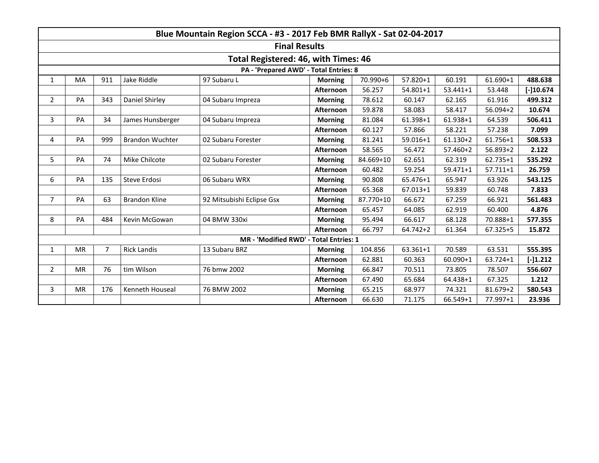|                                        | Blue Mountain Region SCCA - #3 - 2017 Feb BMR RallyX - Sat 02-04-2017 |                    |                        |                                        |                               |           |              |              |              |             |  |
|----------------------------------------|-----------------------------------------------------------------------|--------------------|------------------------|----------------------------------------|-------------------------------|-----------|--------------|--------------|--------------|-------------|--|
| <b>Final Results</b>                   |                                                                       |                    |                        |                                        |                               |           |              |              |              |             |  |
| Total Registered: 46, with Times: 46   |                                                                       |                    |                        |                                        |                               |           |              |              |              |             |  |
| PA - 'Prepared AWD' - Total Entries: 8 |                                                                       |                    |                        |                                        |                               |           |              |              |              |             |  |
| $\mathbf{1}$                           | MA                                                                    | Jake Riddle<br>911 |                        | 97 Subaru L                            | <b>Morning</b>                | 70.990+6  | 57.820+1     | 60.191       | 61.690+1     | 488.638     |  |
|                                        |                                                                       |                    |                        |                                        | Afternoon                     | 56.257    | $54.801 + 1$ | $53.441 + 1$ | 53.448       | $[-]10.674$ |  |
| $\overline{2}$                         | PA                                                                    | 343                | Daniel Shirley         | 04 Subaru Impreza                      | <b>Morning</b>                | 78.612    | 60.147       | 62.165       | 61.916       | 499.312     |  |
|                                        |                                                                       |                    |                        |                                        | 59.878<br>Afternoon<br>58.083 |           | 58.417       | $56.094 + 2$ | 10.674       |             |  |
| 3                                      | PA                                                                    | 34                 | James Hunsberger       | 04 Subaru Impreza                      | <b>Morning</b>                | 81.084    | 61.398+1     | 61.938+1     | 64.539       | 506.411     |  |
|                                        |                                                                       |                    |                        |                                        | Afternoon                     | 60.127    | 57.866       | 58.221       | 57.238       | 7.099       |  |
| 4                                      | PA                                                                    | 999                | <b>Brandon Wuchter</b> | 02 Subaru Forester                     |                               | 81.241    | 59.016+1     | $61.130 + 2$ | 61.756+1     | 508.533     |  |
|                                        |                                                                       |                    |                        |                                        |                               | 58.565    | 56.472       | $57.460 + 2$ | $56.893 + 2$ | 2.122       |  |
| 5                                      | PA                                                                    | 74                 | Mike Chilcote          | 02 Subaru Forester                     | <b>Morning</b>                | 84.669+10 | 62.651       | 62.319       | 62.735+1     | 535.292     |  |
|                                        |                                                                       |                    |                        |                                        | Afternoon                     | 60.482    | 59.254       | $59.471 + 1$ | $57.711 + 1$ | 26.759      |  |
| 6                                      | PA                                                                    | 135                | Steve Erdosi           | 06 Subaru WRX                          | <b>Morning</b>                | 90.808    | 65.476+1     | 65.947       | 63.926       | 543.125     |  |
|                                        |                                                                       |                    |                        |                                        | Afternoon                     | 65.368    | $67.013 + 1$ | 59.839       | 60.748       | 7.833       |  |
| $\overline{7}$                         | PA                                                                    | 63                 | <b>Brandon Kline</b>   | 92 Mitsubishi Eclipse Gsx              | <b>Morning</b>                | 87.770+10 | 66.672       | 67.259       | 66.921       | 561.483     |  |
|                                        |                                                                       |                    |                        |                                        | Afternoon                     | 65.457    | 64.085       | 62.919       | 60.400       | 4.876       |  |
| 8                                      | PA                                                                    | 484                | Kevin McGowan          | 04 BMW 330xi                           | <b>Morning</b>                | 95.494    | 66.617       | 68.128       | 70.888+1     | 577.355     |  |
|                                        |                                                                       |                    |                        |                                        | Afternoon                     | 66.797    | $64.742 + 2$ | 61.364       | 67.325+5     | 15.872      |  |
|                                        |                                                                       |                    |                        | MR - 'Modified RWD' - Total Entries: 1 |                               |           |              |              |              |             |  |
| 1                                      | <b>MR</b>                                                             | 7                  | <b>Rick Landis</b>     | 13 Subaru BRZ                          | <b>Morning</b>                | 104.856   | 63.361+1     | 70.589       | 63.531       | 555.395     |  |
|                                        |                                                                       |                    |                        |                                        | Afternoon                     | 62.881    | 60.363       | $60.090 + 1$ | 63.724+1     | $[-]1.212$  |  |
| $\overline{2}$                         | <b>MR</b>                                                             | 76                 | tim Wilson             | 76 bmw 2002                            | <b>Morning</b>                | 66.847    | 70.511       | 73.805       | 78.507       | 556.607     |  |
|                                        |                                                                       |                    |                        |                                        | Afternoon                     | 67.490    | 65.684       | 64.438+1     | 67.325       | 1.212       |  |
| 3                                      | <b>MR</b>                                                             | 176                | Kenneth Houseal        | 76 BMW 2002                            | <b>Morning</b>                | 65.215    | 68.977       | 74.321       | 81.679+2     | 580.543     |  |
|                                        |                                                                       |                    |                        |                                        | Afternoon                     | 66.630    | 71.175       | 66.549+1     | 77.997+1     | 23.936      |  |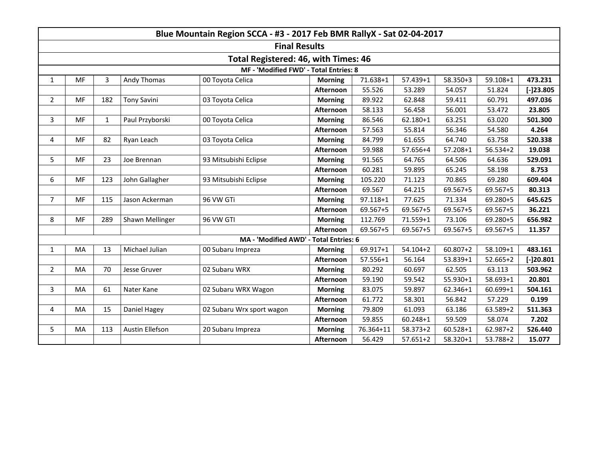|                                        | Blue Mountain Region SCCA - #3 - 2017 Feb BMR RallyX - Sat 02-04-2017 |              |                    |                                        |                |              |              |              |              |             |  |  |
|----------------------------------------|-----------------------------------------------------------------------|--------------|--------------------|----------------------------------------|----------------|--------------|--------------|--------------|--------------|-------------|--|--|
| <b>Final Results</b>                   |                                                                       |              |                    |                                        |                |              |              |              |              |             |  |  |
|                                        | Total Registered: 46, with Times: 46                                  |              |                    |                                        |                |              |              |              |              |             |  |  |
| MF - 'Modified FWD' - Total Entries: 8 |                                                                       |              |                    |                                        |                |              |              |              |              |             |  |  |
| $\mathbf{1}$                           | <b>MF</b>                                                             | 3            | Andy Thomas        | 00 Toyota Celica                       | <b>Morning</b> | 71.638+1     | 57.439+1     | 58.350+3     | 59.108+1     | 473.231     |  |  |
|                                        |                                                                       |              |                    |                                        | Afternoon      | 55.526       | 53.289       | 54.057       | 51.824       | $[-]23.805$ |  |  |
| $\overline{2}$                         | MF                                                                    | 182          | <b>Tony Savini</b> | 03 Toyota Celica                       | <b>Morning</b> | 89.922       | 62.848       | 59.411       | 60.791       | 497.036     |  |  |
|                                        |                                                                       |              |                    |                                        | Afternoon      | 58.133       | 56.458       | 56.001       | 53.472       | 23.805      |  |  |
| $\mathbf{3}$                           | <b>MF</b>                                                             | $\mathbf{1}$ | Paul Przyborski    | 00 Toyota Celica                       | <b>Morning</b> | 86.546       | $62.180 + 1$ | 63.251       | 63.020       | 501.300     |  |  |
|                                        |                                                                       |              |                    |                                        | Afternoon      | 57.563       | 55.814       | 56.346       | 54.580       | 4.264       |  |  |
| 4                                      | <b>MF</b>                                                             | 82           | Ryan Leach         | 03 Toyota Celica                       | <b>Morning</b> | 84.799       | 61.655       | 64.740       | 63.758       | 520.338     |  |  |
|                                        |                                                                       |              |                    |                                        | Afternoon      | 59.988       | 57.656+4     | 57.208+1     | $56.534 + 2$ | 19.038      |  |  |
| 5                                      | <b>MF</b>                                                             | 23           | Joe Brennan        | 93 Mitsubishi Eclipse                  | <b>Morning</b> | 91.565       | 64.765       | 64.506       | 64.636       | 529.091     |  |  |
|                                        |                                                                       |              |                    |                                        | Afternoon      | 60.281       | 59.895       | 65.245       | 58.198       | 8.753       |  |  |
| 6                                      | <b>MF</b>                                                             | 123          | John Gallagher     | 93 Mitsubishi Eclipse                  | <b>Morning</b> | 105.220      | 71.123       | 70.865       | 69.280       | 609.404     |  |  |
|                                        |                                                                       |              |                    |                                        | Afternoon      | 69.567       | 64.215       | 69.567+5     | 69.567+5     | 80.313      |  |  |
| $\overline{7}$                         | <b>MF</b>                                                             | 115          | Jason Ackerman     | 96 VW GTi                              | <b>Morning</b> | $97.118 + 1$ | 77.625       | 71.334       | 69.280+5     | 645.625     |  |  |
|                                        |                                                                       |              |                    |                                        | Afternoon      | 69.567+5     | 69.567+5     | 69.567+5     | 69.567+5     | 36.221      |  |  |
| 8                                      | <b>MF</b>                                                             | 289          | Shawn Mellinger    | 96 VW GTI                              | <b>Morning</b> | 112.769      | 71.559+1     | 73.106       | 69.280+5     | 656.982     |  |  |
|                                        |                                                                       |              |                    |                                        | Afternoon      | 69.567+5     | 69.567+5     | 69.567+5     | 69.567+5     | 11.357      |  |  |
|                                        |                                                                       |              |                    | MA - 'Modified AWD' - Total Entries: 6 |                |              |              |              |              |             |  |  |
| $\mathbf{1}$                           | <b>MA</b>                                                             | 13           | Michael Julian     | 00 Subaru Impreza                      | <b>Morning</b> | 69.917+1     | $54.104 + 2$ | $60.807 + 2$ | 58.109+1     | 483.161     |  |  |
|                                        |                                                                       |              |                    |                                        | Afternoon      | 57.556+1     | 56.164       | 53.839+1     | $52.665+2$   | $[-]20.801$ |  |  |
| $\overline{2}$                         | MA                                                                    | 70           | Jesse Gruver       | 02 Subaru WRX                          | <b>Morning</b> | 80.292       | 60.697       | 62.505       | 63.113       | 503.962     |  |  |
|                                        |                                                                       |              |                    |                                        | Afternoon      | 59.190       | 59.542       | 55.930+1     | 58.693+1     | 20.801      |  |  |
| 3                                      | MA                                                                    | 61           | Nater Kane         | 02 Subaru WRX Wagon                    | <b>Morning</b> | 83.075       | 59.897       | 62.346+1     | 60.699+1     | 504.161     |  |  |
|                                        |                                                                       |              |                    |                                        | Afternoon      | 61.772       | 58.301       | 56.842       | 57.229       | 0.199       |  |  |
| 4                                      | MA                                                                    | 15           | Daniel Hagey       | 02 Subaru Wrx sport wagon              | <b>Morning</b> | 79.809       | 61.093       | 63.186       | 63.589+2     | 511.363     |  |  |
|                                        |                                                                       |              |                    |                                        | Afternoon      | 59.855       | $60.248 + 1$ | 59.509       | 58.074       | 7.202       |  |  |
| 5                                      | MA                                                                    | 113          | Austin Ellefson    | 20 Subaru Impreza                      | <b>Morning</b> | 76.364+11    | 58.373+2     | $60.528 + 1$ | 62.987+2     | 526.440     |  |  |
|                                        |                                                                       |              |                    |                                        | Afternoon      | 56.429       | $57.651 + 2$ | 58.320+1     | 53.788+2     | 15.077      |  |  |